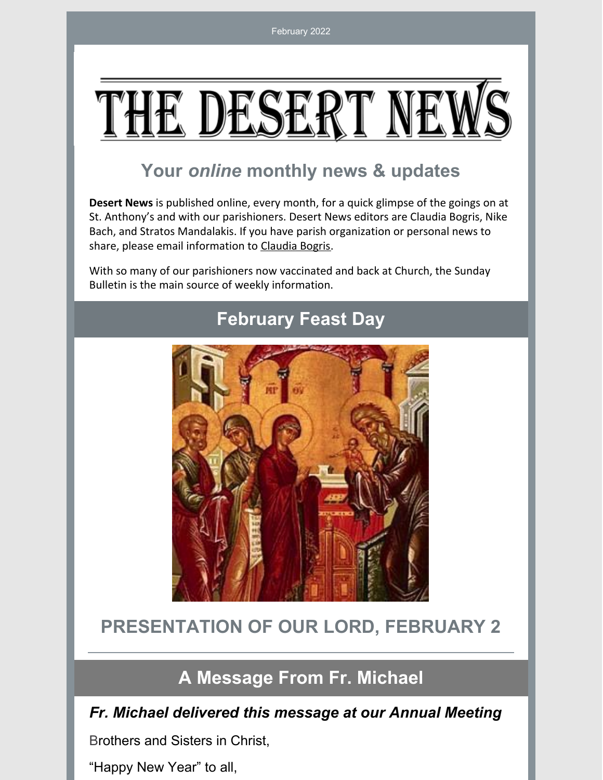# E DE

# **Your** *online* **monthly news & updates**

**Desert News** is published online, every month, for a quick glimpse of the goings on at St. Anthony's and with our parishioners. Desert News editors are Claudia Bogris, Nike Bach, and Stratos Mandalakis. If you have parish organization or personal news to share, please email information to [Claudia](mailto:cbogris@aol.com) Bogris.

With so many of our parishioners now vaccinated and back at Church, the Sunday Bulletin is the main source of weekly information.



# **February Feast Day**

# **PRESENTATION OF OUR LORD, FEBRUARY 2**

# **A Message From Fr. Michael**

#### *Fr. Michael delivered this message at our Annual Meeting*

Brothers and Sisters in Christ,

"Happy New Year" to all,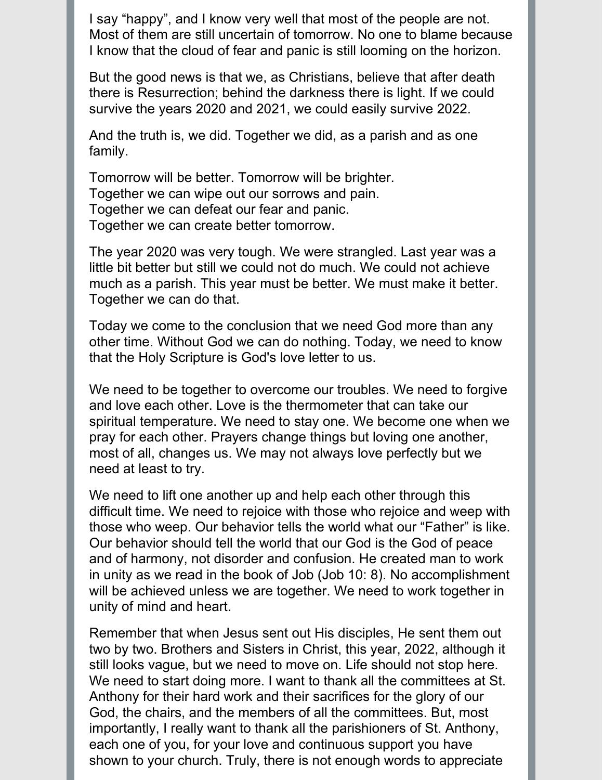I say "happy", and I know very well that most of the people are not. Most of them are still uncertain of tomorrow. No one to blame because I know that the cloud of fear and panic is still looming on the horizon.

But the good news is that we, as Christians, believe that after death there is Resurrection; behind the darkness there is light. If we could survive the years 2020 and 2021, we could easily survive 2022.

And the truth is, we did. Together we did, as a parish and as one family.

Tomorrow will be better. Tomorrow will be brighter. Together we can wipe out our sorrows and pain. Together we can defeat our fear and panic. Together we can create better tomorrow.

The year 2020 was very tough. We were strangled. Last year was a little bit better but still we could not do much. We could not achieve much as a parish. This year must be better. We must make it better. Together we can do that.

Today we come to the conclusion that we need God more than any other time. Without God we can do nothing. Today, we need to know that the Holy Scripture is God's love letter to us.

We need to be together to overcome our troubles. We need to forgive and love each other. Love is the thermometer that can take our spiritual temperature. We need to stay one. We become one when we pray for each other. Prayers change things but loving one another, most of all, changes us. We may not always love perfectly but we need at least to try.

We need to lift one another up and help each other through this difficult time. We need to rejoice with those who rejoice and weep with those who weep. Our behavior tells the world what our "Father" is like. Our behavior should tell the world that our God is the God of peace and of harmony, not disorder and confusion. He created man to work in unity as we read in the book of Job (Job 10: 8). No accomplishment will be achieved unless we are together. We need to work together in unity of mind and heart.

Remember that when Jesus sent out His disciples, He sent them out two by two. Brothers and Sisters in Christ, this year, 2022, although it still looks vague, but we need to move on. Life should not stop here. We need to start doing more. I want to thank all the committees at St. Anthony for their hard work and their sacrifices for the glory of our God, the chairs, and the members of all the committees. But, most importantly, I really want to thank all the parishioners of St. Anthony, each one of you, for your love and continuous support you have shown to your church. Truly, there is not enough words to appreciate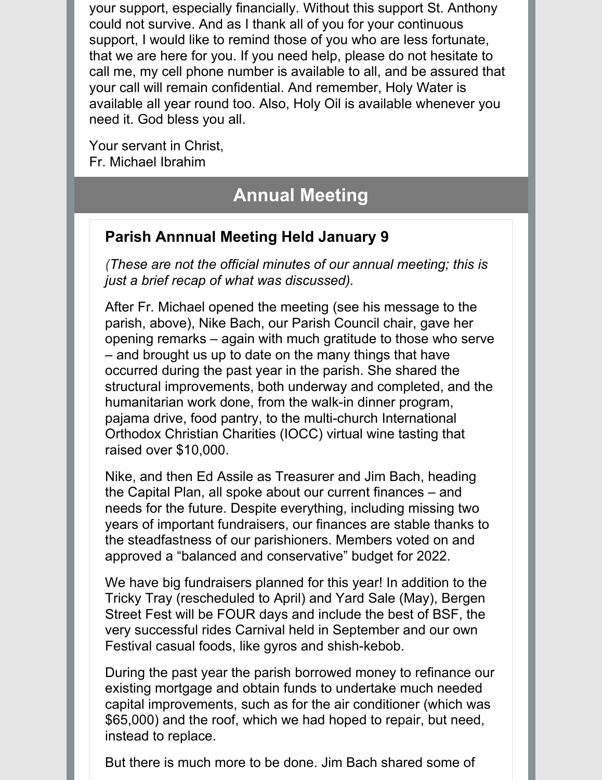your support, especially financially. Without this support St. Anthony could not survive. And as I thank all of you for your continuous support, I would like to remind those of you who are less fortunate, that we are here for you. If you need help, please do not hesitate to call me, my cell phone number is available to all, and be assured that your call will remain confidential. And remember, Holy Water is available all year round too. Also, Holy Oil is available whenever you need it. God bless you all.

Your servant in Christ, Fr. Michael Ibrahim

# **Annual Meeting**

## **Parish Annnual Meeting Held January 9**

*(These are not the official minutes of our annual meeting; this is just a brief recap of what was discussed).*

After Fr. Michael opened the meeting (see his message to the parish, above), Nike Bach, our Parish Council chair, gave her opening remarks – again with much gratitude to those who serve – and brought us up to date on the many things that have occurred during the past year in the parish. She shared the structural improvements, both underway and completed, and the humanitarian work done, from the walk-in dinner program, pajama drive, food pantry, to the multi-church International Orthodox Christian Charities (IOCC) virtual wine tasting that raised over \$10,000.

Nike, and then Ed Assile as Treasurer and Jim Bach, heading the Capital Plan, all spoke about our current finances – and needs for the future. Despite everything, including missing two years of important fundraisers, our finances are stable thanks to the steadfastness of our parishioners. Members voted on and approved a "balanced and conservative" budget for 2022.

We have big fundraisers planned for this year! In addition to the Tricky Tray (rescheduled to April) and Yard Sale (May), Bergen Street Fest will be FOUR days and include the best of BSF, the very successful rides Carnival held in September and our own Festival casual foods, like gyros and shish-kebob.

During the past year the parish borrowed money to refinance our existing mortgage and obtain funds to undertake much needed capital improvements, such as for the air conditioner (which was \$65,000) and the roof, which we had hoped to repair, but need, instead to replace.

But there is much more to be done. Jim Bach shared some of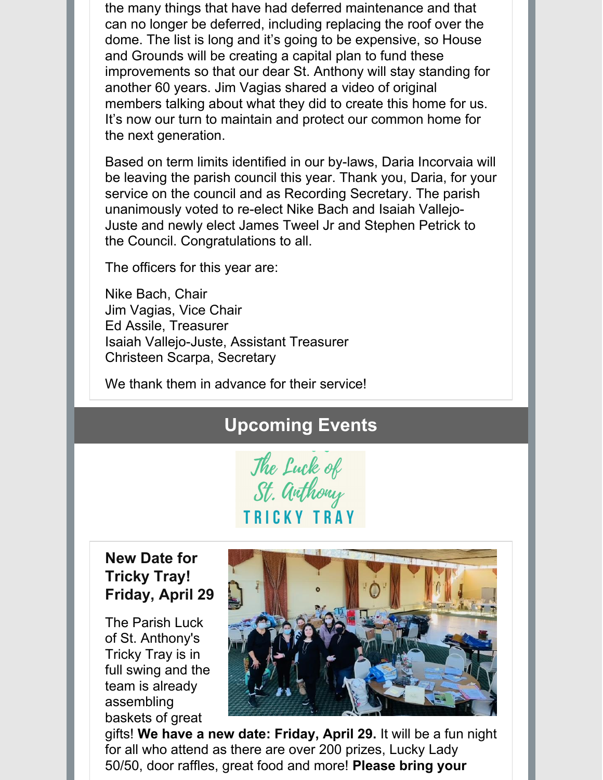the many things that have had deferred maintenance and that can no longer be deferred, including replacing the roof over the dome. The list is long and it's going to be expensive, so House and Grounds will be creating a capital plan to fund these improvements so that our dear St. Anthony will stay standing for another 60 years. Jim Vagias shared a video of original members talking about what they did to create this home for us. It's now our turn to maintain and protect our common home for the next generation.

Based on term limits identified in our by-laws, Daria Incorvaia will be leaving the parish council this year. Thank you, Daria, for your service on the council and as Recording Secretary. The parish unanimously voted to re-elect Nike Bach and Isaiah Vallejo-Juste and newly elect James Tweel Jr and Stephen Petrick to the Council. Congratulations to all.

The officers for this year are:

Nike Bach, Chair Jim Vagias, Vice Chair Ed Assile, Treasurer Isaiah Vallejo-Juste, Assistant Treasurer Christeen Scarpa, Secretary

We thank them in advance for their service!

# **Upcoming Events**



### **New Date for Tricky Tray! Friday, April 29**

The Parish Luck of St. Anthony's Tricky Tray is in full swing and the team is already assembling baskets of great



gifts! **We have a new date: Friday, April 29.** It will be a fun night for all who attend as there are over 200 prizes, Lucky Lady 50/50, door raffles, great food and more! **Please bring your**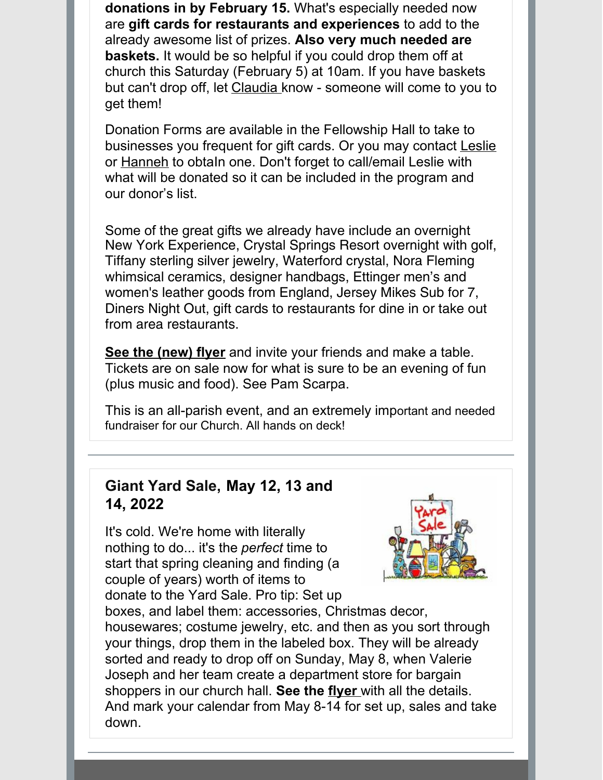**donations in by February 15.** What's especially needed now are **gift cards for restaurants and experiences** to add to the already awesome list of prizes. **Also very much needed are baskets.** It would be so helpful if you could drop them off at church this Saturday (February 5) at 10am. If you have baskets but can't drop off, let [Claudia](mailto:cbogris@aol.com) know - someone will come to you to get them!

Donation Forms are available in the Fellowship Hall to take to businesses you frequent for gift cards. Or you may contact [Leslie](mailto:LeslieCarter2@aol.com) or [Hanneh](mailto:hkalyoussef@gmail.com) to obtaIn one. Don't forget to call/email Leslie with what will be donated so it can be included in the program and our donor's list.

Some of the great gifts we already have include an overnight New York Experience, Crystal Springs Resort overnight with golf, Tiffany sterling silver jewelry, Waterford crystal, Nora Fleming whimsical ceramics, designer handbags, Ettinger men's and women's leather goods from England, Jersey Mikes Sub for 7, Diners Night Out, gift cards to restaurants for dine in or take out from area restaurants.

**See the [\(new\)](https://files.constantcontact.com/e603b90b001/755b7395-ae14-49f6-baa7-665306be2fbb.pdf) flyer** and invite your friends and make a table. Tickets are on sale now for what is sure to be an evening of fun (plus music and food). See Pam Scarpa.

This is an all-parish event, and an extremely important and needed fundraiser for our Church. All hands on deck!

#### **Giant Yard Sale, May 12, 13 and 14, 2022**

It's cold. We're home with literally nothing to do... it's the *perfect* time to start that spring cleaning and finding (a couple of years) worth of items to donate to the Yard Sale. Pro tip: Set up



boxes, and label them: accessories, Christmas decor, housewares; costume jewelry, etc. and then as you sort through your things, drop them in the labeled box. They will be already sorted and ready to drop off on Sunday, May 8, when Valerie Joseph and her team create a department store for bargain shoppers in our church hall. **See the [flyer](https://files.constantcontact.com/e603b90b001/4146cf80-5e2e-47ce-a62c-9988c305a325.docx)** with all the details. And mark your calendar from May 8-14 for set up, sales and take down.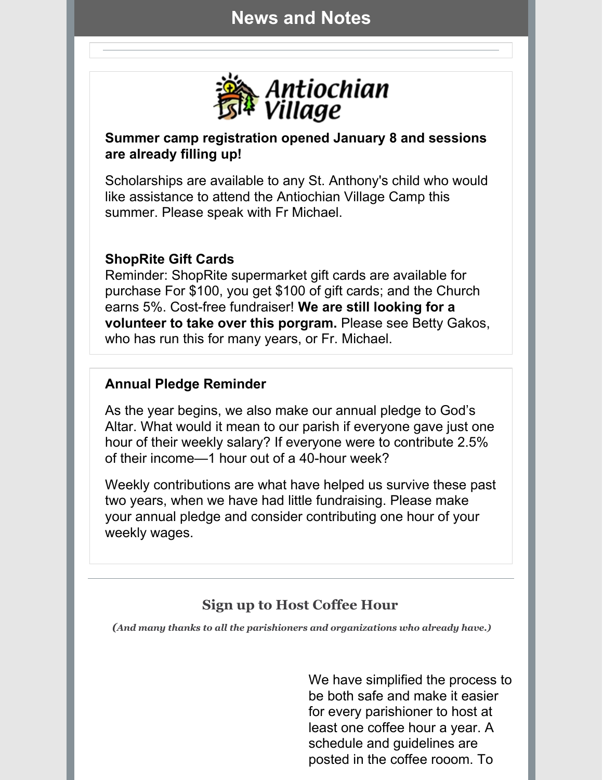## **News and Notes**



#### **Summer camp registration opened January 8 and sessions are already filling up!**

Scholarships are available to any St. Anthony's child who would like assistance to attend the Antiochian Village Camp this summer. Please speak with Fr Michael.

#### **ShopRite Gift Cards**

Reminder: ShopRite supermarket gift cards are available for purchase For \$100, you get \$100 of gift cards; and the Church earns 5%. Cost-free fundraiser! **We are still looking for a volunteer to take over this porgram.** Please see Betty Gakos, who has run this for many years, or Fr. Michael.

#### **Annual Pledge Reminder**

As the year begins, we also make our annual pledge to God's Altar. What would it mean to our parish if everyone gave just one hour of their weekly salary? If everyone were to contribute 2.5% of their income—1 hour out of a 40-hour week?

Weekly contributions are what have helped us survive these past two years, when we have had little fundraising. Please make your annual pledge and consider contributing one hour of your weekly wages.

## **Sign up to Host Coffee Hour**

*(And many thanks to all the parishioners and organizations who already have.)*

We have simplified the process to be both safe and make it easier for every parishioner to host at least one coffee hour a year. A schedule and guidelines are posted in the coffee rooom. To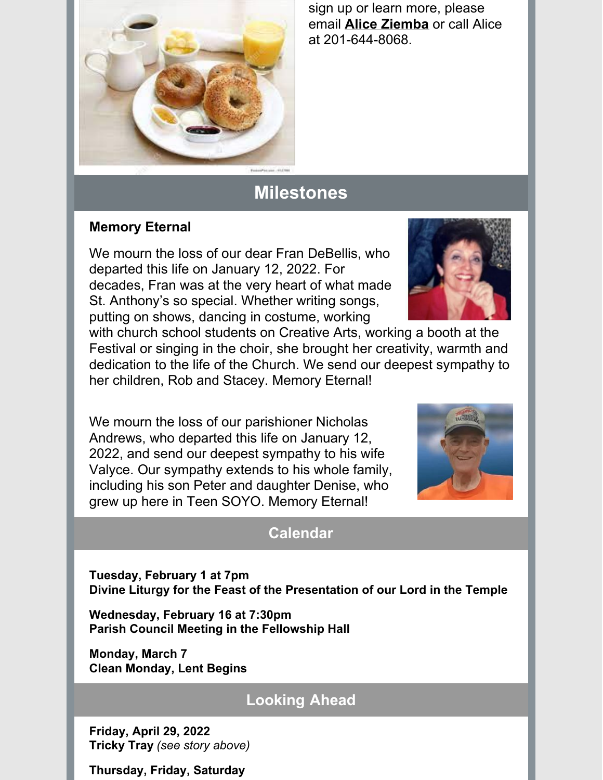

sign up or learn more, please email **Alice [Ziemba](mailto:aliceziemba@yahoo.com)** or call Alice at 201-644-8068.

# **Milestones**

#### **Memory Eternal**

We mourn the loss of our dear Fran DeBellis, who departed this life on January 12, 2022. For decades, Fran was at the very heart of what made St. Anthony's so special. Whether writing songs, putting on shows, dancing in costume, working



with church school students on Creative Arts, working a booth at the Festival or singing in the choir, she brought her creativity, warmth and dedication to the life of the Church. We send our deepest sympathy to her children, Rob and Stacey. Memory Eternal!

We mourn the loss of our parishioner Nicholas Andrews, who departed this life on January 12, 2022, and send our deepest sympathy to his wife Valyce. Our sympathy extends to his whole family, including his son Peter and daughter Denise, who grew up here in Teen SOYO. Memory Eternal!



## **Calendar**

**Tuesday, February 1 at 7pm Divine Liturgy for the Feast of the Presentation of our Lord in the Temple**

**Wednesday, February 16 at 7:30pm Parish Council Meeting in the Fellowship Hall**

**Monday, March 7 Clean Monday, Lent Begins**

## **Looking Ahead**

**Friday, April 29, 2022 Tricky Tray** *(see story above)*

**Thursday, Friday, Saturday**